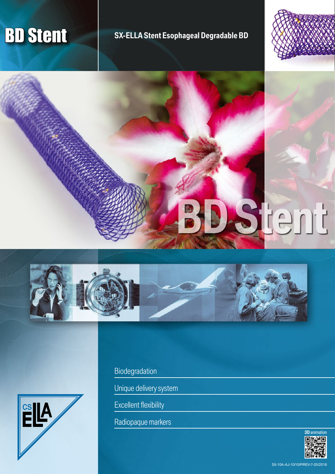# **BD Stent Stent Stent Esophageal Degradable BD**









Biodegradation

Unique delivery system

Excellent flexibility

Radiopaque markers